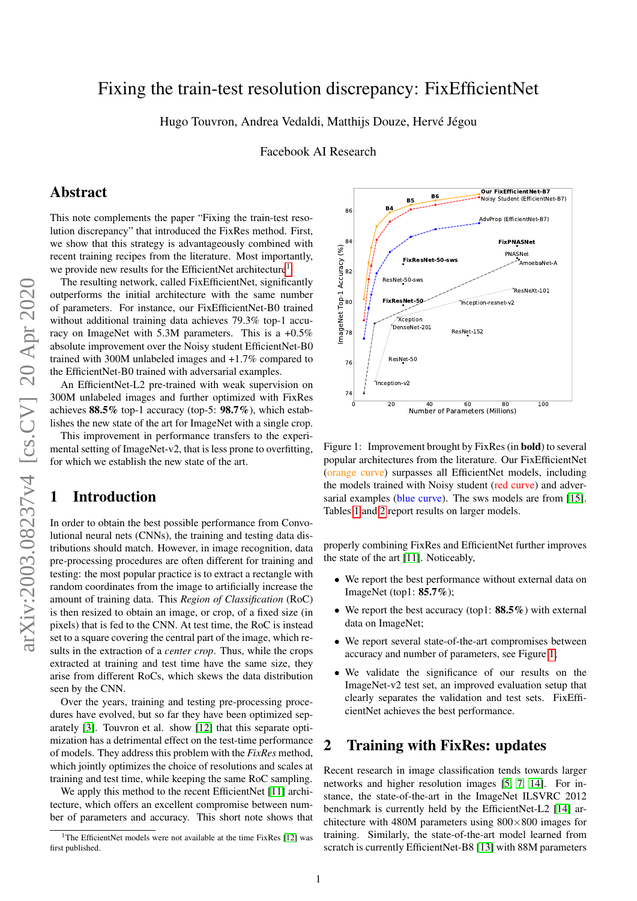# Fixing the train-test resolution discrepancy: FixEfficientNet

Hugo Touvron, Andrea Vedaldi, Matthijs Douze, Hervé Jégou

Facebook AI Research

### Abstract

This note complements the paper "Fixing the train-test resolution discrepancy" that introduced the FixRes method. First, we show that this strategy is advantageously combined with recent training recipes from the literature. Most importantly, we provide new results for the EfficientNet architecture<sup>[1](#page-0-0)</sup>.

The resulting network, called FixEfficientNet, significantly outperforms the initial architecture with the same number of parameters. For instance, our FixEfficientNet-B0 trained without additional training data achieves 79.3% top-1 accuracy on ImageNet with 5.3M parameters. This is a +0.5% absolute improvement over the Noisy student EfficientNet-B0 trained with 300M unlabeled images and +1.7% compared to the EfficientNet-B0 trained with adversarial examples.

An EfficientNet-L2 pre-trained with weak supervision on 300M unlabeled images and further optimized with FixRes achieves 88.5% top-1 accuracy (top-5: 98.7%), which establishes the new state of the art for ImageNet with a single crop.

This improvement in performance transfers to the experimental setting of ImageNet-v2, that is less prone to overfitting, for which we establish the new state of the art.

## 1 Introduction

In order to obtain the best possible performance from Convolutional neural nets (CNNs), the training and testing data distributions should match. However, in image recognition, data pre-processing procedures are often different for training and testing: the most popular practice is to extract a rectangle with random coordinates from the image to artificially increase the amount of training data. This *Region of Classification* (RoC) is then resized to obtain an image, or crop, of a fixed size (in pixels) that is fed to the CNN. At test time, the RoC is instead set to a square covering the central part of the image, which results in the extraction of a *center crop*. Thus, while the crops extracted at training and test time have the same size, they arise from different RoCs, which skews the data distribution seen by the CNN. active SRS <sup>56</sup> top-1 seconds are the summing tends to the summing of the summing of the summing of the summing of the summing of the summing terms in prefirement in performance transfers to the experiment in performance

Over the years, training and testing pre-processing procedures have evolved, but so far they have been optimized separately [\[3\]](#page-2-0). Touvron et al. show [\[12\]](#page-4-0) that this separate optimization has a detrimental effect on the test-time performance of models. They address this problem with the *FixRes* method, which jointly optimizes the choice of resolutions and scales at training and test time, while keeping the same RoC sampling.

We apply this method to the recent EfficientNet [\[11\]](#page-4-1) architecture, which offers an excellent compromise between number of parameters and accuracy. This short note shows that



<span id="page-0-1"></span>Figure 1: Improvement brought by FixRes (in bold) to several popular architectures from the literature. Our FixEfficientNet (orange curve) surpasses all EfficientNet models, including the models trained with Noisy student (red curve) and adver-sarial examples (blue curve). The sws models are from [\[15\]](#page-4-2). Tables [1](#page-2-1) and [2](#page-2-2) report results on larger models.

properly combining FixRes and EfficientNet further improves the state of the art [\[11\]](#page-4-1). Noticeably,

- We report the best performance without external data on ImageNet (top1: 85.7%);
- We report the best accuracy (top1: 88.5%) with external data on ImageNet;
- We report several state-of-the-art compromises between accuracy and number of parameters, see Figure [1;](#page-0-1)
- We validate the significance of our results on the ImageNet-v2 test set, an improved evaluation setup that clearly separates the validation and test sets. FixEfficientNet achieves the best performance.

### 2 Training with FixRes: updates

Recent research in image classification tends towards larger networks and higher resolution images [\[5,](#page-2-3) [7,](#page-2-4) [14\]](#page-4-3). For instance, the state-of-the-art in the ImageNet ILSVRC 2012 benchmark is currently held by the EfficientNet-L2 [\[14\]](#page-4-3) architecture with 480M parameters using  $800\times800$  images for training. Similarly, the state-of-the-art model learned from scratch is currently EfficientNet-B8 [\[13\]](#page-4-4) with 88M parameters

<span id="page-0-0"></span><sup>&</sup>lt;sup>1</sup>The EfficientNet models were not available at the time FixRes [\[12\]](#page-4-0) was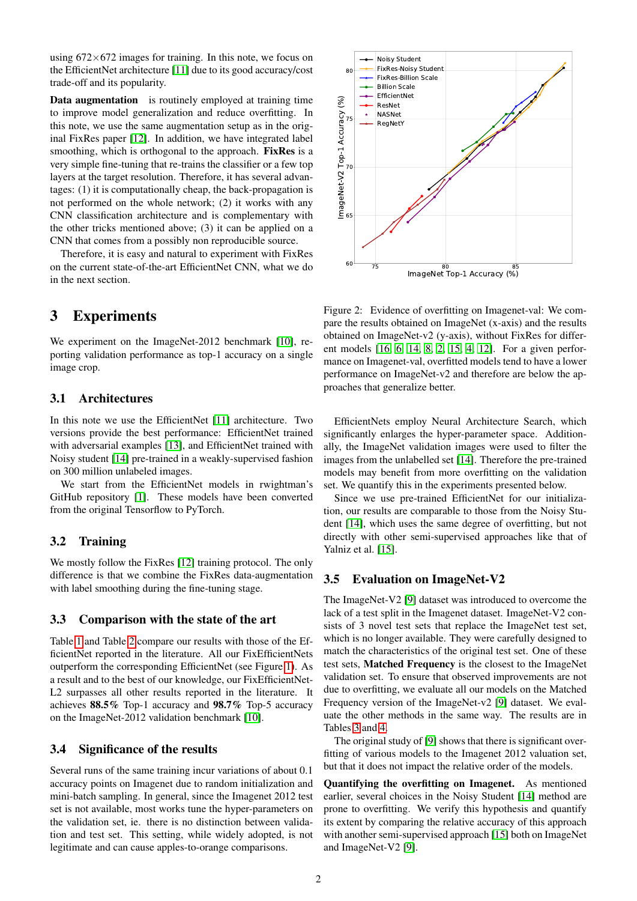using  $672\times672$  images for training. In this note, we focus on the EfficientNet architecture [\[11\]](#page-4-1) due to its good accuracy/cost trade-off and its popularity.

Data augmentation is routinely employed at training time to improve model generalization and reduce overfitting. In this note, we use the same augmentation setup as in the original FixRes paper [\[12\]](#page-4-0). In addition, we have integrated label smoothing, which is orthogonal to the approach. FixRes is a very simple fine-tuning that re-trains the classifier or a few top layers at the target resolution. Therefore, it has several advantages: (1) it is computationally cheap, the back-propagation is not performed on the whole network; (2) it works with any CNN classification architecture and is complementary with the other tricks mentioned above; (3) it can be applied on a CNN that comes from a possibly non reproducible source.

Therefore, it is easy and natural to experiment with FixRes on the current state-of-the-art EfficientNet CNN, what we do in the next section.

### 3 Experiments

We experiment on the ImageNet-2012 benchmark [\[10\]](#page-4-5), reporting validation performance as top-1 accuracy on a single image crop.

#### 3.1 Architectures

In this note we use the EfficientNet [\[11\]](#page-4-1) architecture. Two versions provide the best performance: EfficientNet trained with adversarial examples [\[13\]](#page-4-4), and EfficientNet trained with Noisy student [\[14\]](#page-4-3) pre-trained in a weakly-supervised fashion on 300 million unlabeled images.

We start from the EfficientNet models in rwightman's GitHub repository [\[1\]](#page-2-5). These models have been converted from the original Tensorflow to PyTorch.

#### 3.2 Training

We mostly follow the FixRes [\[12\]](#page-4-0) training protocol. The only difference is that we combine the FixRes data-augmentation with label smoothing during the fine-tuning stage.

#### 3.3 Comparison with the state of the art

Table [1](#page-2-1) and Table [2](#page-2-2) compare our results with those of the EfficientNet reported in the literature. All our FixEfficientNets outperform the corresponding EfficientNet (see Figure [1\)](#page-0-1). As a result and to the best of our knowledge, our FixEfficientNet-L2 surpasses all other results reported in the literature. It achieves 88.5% Top-1 accuracy and 98.7% Top-5 accuracy on the ImageNet-2012 validation benchmark [\[10\]](#page-4-5).

#### <span id="page-1-0"></span>3.4 Significance of the results

Several runs of the same training incur variations of about 0.1 accuracy points on Imagenet due to random initialization and mini-batch sampling. In general, since the Imagenet 2012 test set is not available, most works tune the hyper-parameters on the validation set, ie. there is no distinction between validation and test set. This setting, while widely adopted, is not legitimate and can cause apples-to-orange comparisons.



<span id="page-1-1"></span>Figure 2: Evidence of overfitting on Imagenet-val: We compare the results obtained on ImageNet (x-axis) and the results obtained on ImageNet-v2 (y-axis), without FixRes for different models [\[16,](#page-4-6) [6,](#page-2-6) [14,](#page-4-3) [8,](#page-4-7) [2,](#page-2-7) [15,](#page-4-2) [4,](#page-2-8) [12\]](#page-4-0). For a given performance on Imagenet-val, overfitted models tend to have a lower performance on ImageNet-v2 and therefore are below the approaches that generalize better.

EfficientNets employ Neural Architecture Search, which significantly enlarges the hyper-parameter space. Additionally, the ImageNet validation images were used to filter the images from the unlabelled set [\[14\]](#page-4-3). Therefore the pre-trained models may benefit from more overfitting on the validation set. We quantify this in the experiments presented below.

Since we use pre-trained EfficientNet for our initialization, our results are comparable to those from the Noisy Student [\[14\]](#page-4-3), which uses the same degree of overfitting, but not directly with other semi-supervised approaches like that of Yalniz et al. [\[15\]](#page-4-2).

#### <span id="page-1-2"></span>3.5 Evaluation on ImageNet-V2

The ImageNet-V2 [\[9\]](#page-4-8) dataset was introduced to overcome the lack of a test split in the Imagenet dataset. ImageNet-V2 consists of 3 novel test sets that replace the ImageNet test set, which is no longer available. They were carefully designed to match the characteristics of the original test set. One of these test sets, Matched Frequency is the closest to the ImageNet validation set. To ensure that observed improvements are not due to overfitting, we evaluate all our models on the Matched Frequency version of the ImageNet-v2 [\[9\]](#page-4-8) dataset. We evaluate the other methods in the same way. The results are in Tables [3](#page-3-0) and [4.](#page-3-1)

The original study of [\[9\]](#page-4-8) shows that there is significant overfitting of various models to the Imagenet 2012 valuation set, but that it does not impact the relative order of the models.

Quantifying the overfitting on Imagenet. As mentioned earlier, several choices in the Noisy Student [\[14\]](#page-4-3) method are prone to overfitting. We verify this hypothesis and quantify its extent by comparing the relative accuracy of this approach with another semi-supervised approach [\[15\]](#page-4-2) both on ImageNet and ImageNet-V2 [\[9\]](#page-4-8).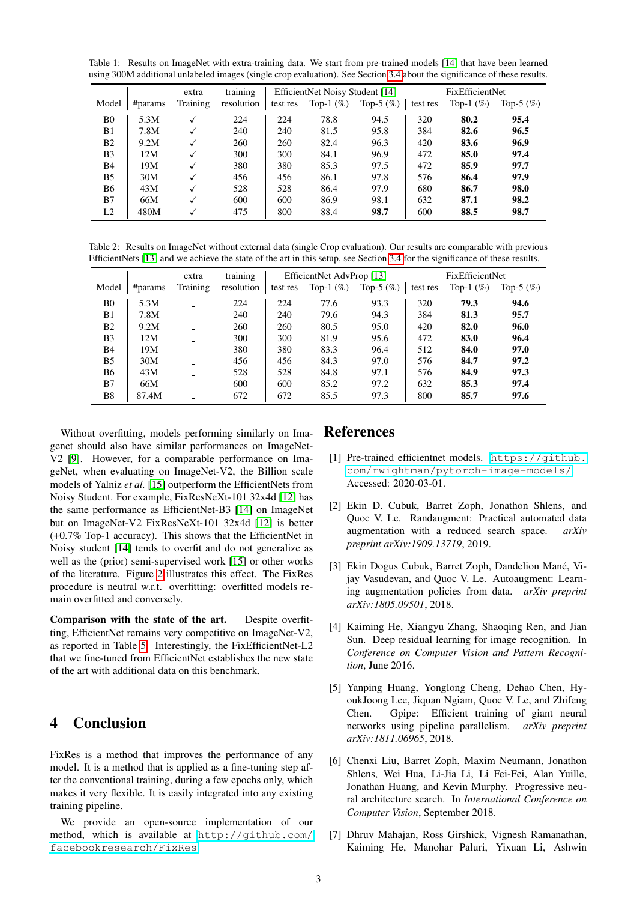<span id="page-2-1"></span>Table 1: Results on ImageNet with extra-training data. We start from pre-trained models [\[14\]](#page-4-3) that have been learned using 300M additional unlabeled images (single crop evaluation). See Section [3.4 a](#page-1-0)bout the significance of these results.

|                |         | extra    | training   | EfficientNet Noisy Student [14] |              | FixEfficientNet |          |              |              |
|----------------|---------|----------|------------|---------------------------------|--------------|-----------------|----------|--------------|--------------|
| Model          | #params | Training | resolution | test res                        | Top-1 $(\%)$ | Top-5 $(\%)$    | test res | Top-1 $(\%)$ | Top-5 $(\%)$ |
| B <sub>0</sub> | 5.3M    |          | 224        | 224                             | 78.8         | 94.5            | 320      | 80.2         | 95.4         |
| B1             | 7.8M    |          | 240        | 240                             | 81.5         | 95.8            | 384      | 82.6         | 96.5         |
| B <sub>2</sub> | 9.2M    |          | 260        | 260                             | 82.4         | 96.3            | 420      | 83.6         | 96.9         |
| B <sub>3</sub> | 12M     |          | 300        | 300                             | 84.1         | 96.9            | 472      | 85.0         | 97.4         |
| <b>B4</b>      | 19M     |          | 380        | 380                             | 85.3         | 97.5            | 472      | 85.9         | 97.7         |
| B <sub>5</sub> | 30M     |          | 456        | 456                             | 86.1         | 97.8            | 576      | 86.4         | 97.9         |
| <b>B6</b>      | 43M     |          | 528        | 528                             | 86.4         | 97.9            | 680      | 86.7         | 98.0         |
| B7             | 66M     |          | 600        | 600                             | 86.9         | 98.1            | 632      | 87.1         | 98.2         |
| L <sub>2</sub> | 480M    |          | 475        | 800                             | 88.4         | 98.7            | 600      | 88.5         | 98.7         |

<span id="page-2-2"></span>Table 2: Results on ImageNet without external data (single Crop evaluation). Our results are comparable with previous EfficientNets [\[13\]](#page-4-4) and we achieve the state of the art in this setup, see Section [3.4](#page-1-0) for the significance of these results.

|                |         | extra    | training   | EfficientNet AdvProp [13] |              |              | FixEfficientNet |              |              |
|----------------|---------|----------|------------|---------------------------|--------------|--------------|-----------------|--------------|--------------|
| Model          | #params | Training | resolution | test res                  | Top-1 $(\%)$ | Top-5 $(\%)$ | test res        | Top-1 $(\%)$ | Top-5 $(\%)$ |
| B <sub>0</sub> | 5.3M    |          | 224        | 224                       | 77.6         | 93.3         | 320             | 79.3         | 94.6         |
| B1             | 7.8M    |          | 240        | 240                       | 79.6         | 94.3         | 384             | 81.3         | 95.7         |
| B <sub>2</sub> | 9.2M    |          | 260        | 260                       | 80.5         | 95.0         | 420             | 82.0         | 96.0         |
| B <sub>3</sub> | 12M     |          | 300        | 300                       | 81.9         | 95.6         | 472             | 83.0         | 96.4         |
| B4             | 19M     |          | 380        | 380                       | 83.3         | 96.4         | 512             | 84.0         | 97.0         |
| B <sub>5</sub> | 30M     |          | 456        | 456                       | 84.3         | 97.0         | 576             | 84.7         | 97.2         |
| B6             | 43M     |          | 528        | 528                       | 84.8         | 97.1         | 576             | 84.9         | 97.3         |
| B7             | 66M     |          | 600        | 600                       | 85.2         | 97.2         | 632             | 85.3         | 97.4         |
| B8             | 87.4M   |          | 672        | 672                       | 85.5         | 97.3         | 800             | 85.7         | 97.6         |

Without overfitting, models performing similarly on Imagenet should also have similar performances on ImageNet-V2 [\[9\]](#page-4-8). However, for a comparable performance on ImageNet, when evaluating on ImageNet-V2, the Billion scale models of Yalniz *et al.* [\[15\]](#page-4-2) outperform the EfficientNets from Noisy Student. For example, FixResNeXt-101 32x4d [\[12\]](#page-4-0) has the same performance as EfficientNet-B3 [\[14\]](#page-4-3) on ImageNet but on ImageNet-V2 FixResNeXt-101 32x4d [\[12\]](#page-4-0) is better (+0.7% Top-1 accuracy). This shows that the EfficientNet in Noisy student [\[14\]](#page-4-3) tends to overfit and do not generalize as well as the (prior) semi-supervised work [\[15\]](#page-4-2) or other works of the literature. Figure [2](#page-1-1) illustrates this effect. The FixRes procedure is neutral w.r.t. overfitting: overfitted models remain overfitted and conversely.

Comparison with the state of the art. Despite overfitting, EfficientNet remains very competitive on ImageNet-V2, as reported in Table [5.](#page-3-2) Interestingly, the FixEfficientNet-L2 that we fine-tuned from EfficientNet establishes the new state of the art with additional data on this benchmark.

# 4 Conclusion

FixRes is a method that improves the performance of any model. It is a method that is applied as a fine-tuning step after the conventional training, during a few epochs only, which makes it very flexible. It is easily integrated into any existing training pipeline.

We provide an open-source implementation of our method, which is available at [http://github.com/](http://github.com/facebookresearch/FixRes) [facebookresearch/FixRes](http://github.com/facebookresearch/FixRes).

### References

- <span id="page-2-5"></span>[1] Pre-trained efficientnet models. [https://github.](https://github.com/rwightman/pytorch-image-models/) [com/rwightman/pytorch-image-models/](https://github.com/rwightman/pytorch-image-models/). Accessed: 2020-03-01.
- <span id="page-2-7"></span>[2] Ekin D. Cubuk, Barret Zoph, Jonathon Shlens, and Quoc V. Le. Randaugment: Practical automated data augmentation with a reduced search space. *arXiv preprint arXiv:1909.13719*, 2019.
- <span id="page-2-0"></span>[3] Ekin Dogus Cubuk, Barret Zoph, Dandelion Mané, Vijay Vasudevan, and Quoc V. Le. Autoaugment: Learning augmentation policies from data. *arXiv preprint arXiv:1805.09501*, 2018.
- <span id="page-2-8"></span>[4] Kaiming He, Xiangyu Zhang, Shaoqing Ren, and Jian Sun. Deep residual learning for image recognition. In *Conference on Computer Vision and Pattern Recognition*, June 2016.
- <span id="page-2-3"></span>[5] Yanping Huang, Yonglong Cheng, Dehao Chen, HyoukJoong Lee, Jiquan Ngiam, Quoc V. Le, and Zhifeng Chen. Gpipe: Efficient training of giant neural networks using pipeline parallelism. *arXiv preprint arXiv:1811.06965*, 2018.
- <span id="page-2-6"></span>[6] Chenxi Liu, Barret Zoph, Maxim Neumann, Jonathon Shlens, Wei Hua, Li-Jia Li, Li Fei-Fei, Alan Yuille, Jonathan Huang, and Kevin Murphy. Progressive neural architecture search. In *International Conference on Computer Vision*, September 2018.
- <span id="page-2-4"></span>[7] Dhruv Mahajan, Ross Girshick, Vignesh Ramanathan, Kaiming He, Manohar Paluri, Yixuan Li, Ashwin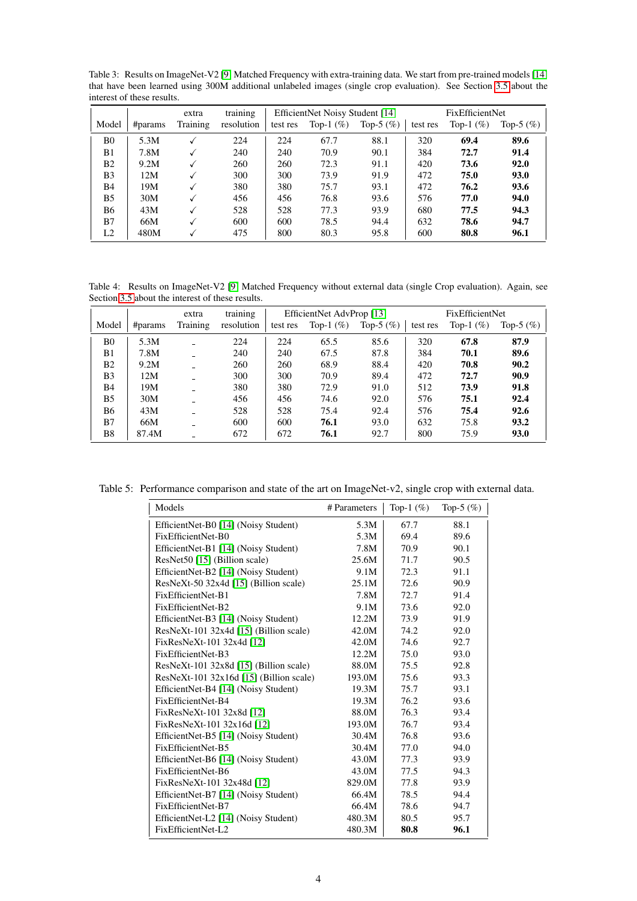<span id="page-3-0"></span>Table 3: Results on ImageNet-V2 [\[9\]](#page-4-8) Matched Frequency with extra-training data. We start from pre-trained models [\[14\]](#page-4-3) that have been learned using 300M additional unlabeled images (single crop evaluation). See Section [3.5](#page-1-2) about the interest of these results.

|                |         | extra    | training   | EfficientNet Noisy Student [14] |              | FixEfficientNet |          |              |              |
|----------------|---------|----------|------------|---------------------------------|--------------|-----------------|----------|--------------|--------------|
| Model          | #params | Training | resolution | test res                        | Top-1 $(\%)$ | Top-5 $(\% )$   | test res | Top-1 $(\%)$ | Top-5 $(\%)$ |
| B <sub>0</sub> | 5.3M    |          | 224        | 224                             | 67.7         | 88.1            | 320      | 69.4         | 89.6         |
| B <sub>1</sub> | 7.8M    |          | 240        | 240                             | 70.9         | 90.1            | 384      | 72.7         | 91.4         |
| B <sub>2</sub> | 9.2M    |          | 260        | 260                             | 72.3         | 91.1            | 420      | 73.6         | 92.0         |
| B3             | 12M     |          | 300        | 300                             | 73.9         | 91.9            | 472      | 75.0         | 93.0         |
| B4             | 19M     |          | 380        | 380                             | 75.7         | 93.1            | 472      | 76.2         | 93.6         |
| B <sub>5</sub> | 30M     |          | 456        | 456                             | 76.8         | 93.6            | 576      | 77.0         | 94.0         |
| B6             | 43M     |          | 528        | 528                             | 77.3         | 93.9            | 680      | 77.5         | 94.3         |
| B7             | 66M     |          | 600        | 600                             | 78.5         | 94.4            | 632      | 78.6         | 94.7         |
| L2             | 480M    |          | 475        | 800                             | 80.3         | 95.8            | 600      | 80.8         | 96.1         |

<span id="page-3-1"></span>Table 4: Results on ImageNet-V2 [\[9\]](#page-4-8) Matched Frequency without external data (single Crop evaluation). Again, see Section [3.5](#page-1-2) about the interest of these results.

|                |         | extra    | training   | EfficientNet AdvProp [13] |              | FixEfficientNet |          |              |              |
|----------------|---------|----------|------------|---------------------------|--------------|-----------------|----------|--------------|--------------|
| Model          | #params | Training | resolution | test res                  | Top-1 $(\%)$ | Top-5 $(\%)$    | test res | Top-1 $(\%)$ | Top-5 $(\%)$ |
| B <sub>0</sub> | 5.3M    |          | 224        | 224                       | 65.5         | 85.6            | 320      | 67.8         | 87.9         |
| B1             | 7.8M    |          | 240        | 240                       | 67.5         | 87.8            | 384      | 70.1         | 89.6         |
| B <sub>2</sub> | 9.2M    |          | 260        | 260                       | 68.9         | 88.4            | 420      | 70.8         | 90.2         |
| B <sub>3</sub> | 12M     |          | 300        | 300                       | 70.9         | 89.4            | 472      | 72.7         | 90.9         |
| B4             | 19M     |          | 380        | 380                       | 72.9         | 91.0            | 512      | 73.9         | 91.8         |
| B5             | 30M     |          | 456        | 456                       | 74.6         | 92.0            | 576      | 75.1         | 92.4         |
| <b>B6</b>      | 43M     |          | 528        | 528                       | 75.4         | 92.4            | 576      | 75.4         | 92.6         |
| B7             | 66M     |          | 600        | 600                       | 76.1         | 93.0            | 632      | 75.8         | 93.2         |
| B8             | 87.4M   |          | 672        | 672                       | 76.1         | 92.7            | 800      | 75.9         | 93.0         |

Table 5: Performance comparison and state of the art on ImageNet-v2, single crop with external data.

<span id="page-3-2"></span>

| Models                                    | # Parameters | Top-1 $(\%)$ | Top-5 $(\%)$ |
|-------------------------------------------|--------------|--------------|--------------|
| EfficientNet-B0 [14] (Noisy Student)      | 5.3M         | 67.7         | 88.1         |
| FixEfficientNet-B0                        | 5.3M         | 69.4         | 89.6         |
| EfficientNet-B1 [14] (Noisy Student)      | 7.8M         | 70.9         | 90.1         |
| ResNet50 [15] (Billion scale)             | 25.6M        | 71.7         | 90.5         |
| EfficientNet-B2 [14] (Noisy Student)      | 9.1M         | 72.3         | 91.1         |
| ResNeXt-50 32x4d [15] (Billion scale)     | 25.1M        | 72.6         | 90.9         |
| FixEfficientNet-B1                        | 7.8M         | 72.7         | 91.4         |
| FixEfficientNet-B2                        | 9.1M         | 73.6         | 92.0         |
| EfficientNet-B3 [14] (Noisy Student)      | 12.2M        | 73.9         | 91.9         |
| ResNeXt-101 32x4d [15] (Billion scale)    | 42.0M        | 74.2         | 92.0         |
| FixResNeXt-101 32x4d [12]                 | 42.0M        | 74.6         | 92.7         |
| FixEfficientNet-B3                        | 12.2M        | 75.0         | 93.0         |
| ResNeXt-101 32x8d [15] (Billion scale)    | 88.0M        | 75.5         | 92.8         |
| $ResNeXt-101$ 32x16d [15] (Billion scale) | 193.0M       | 75.6         | 93.3         |
| EfficientNet-B4 [14] (Noisy Student)      | 19.3M        | 75.7         | 93.1         |
| FixEfficientNet-B4                        | 19.3M        | 76.2         | 93.6         |
| FixResNeXt-101 32x8d [12]                 | 88.0M        | 76.3         | 93.4         |
| FixResNeXt-101 32x16d [12]                | 193.0M       | 76.7         | 93.4         |
| EfficientNet-B5 [14] (Noisy Student)      | 30.4M        | 76.8         | 93.6         |
| FixEfficientNet-B5                        | 30.4M        | 77.0         | 94.0         |
| EfficientNet-B6 [14] (Noisy Student)      | 43.0M        | 77.3         | 93.9         |
| FixEfficientNet-B6                        | 43.0M        | 77.5         | 94.3         |
| FixResNeXt-101 32x48d [12]                | 829.0M       | 77.8         | 93.9         |
| EfficientNet-B7 [14] (Noisy Student)      | 66.4M        | 78.5         | 94.4         |
| FixEfficientNet-B7                        | 66.4M        | 78.6         | 94.7         |
| EfficientNet-L2 [14] (Noisy Student)      | 480.3M       | 80.5         | 95.7         |
| FixEfficientNet-L2                        | 480.3M       | 80.8         | 96.1         |